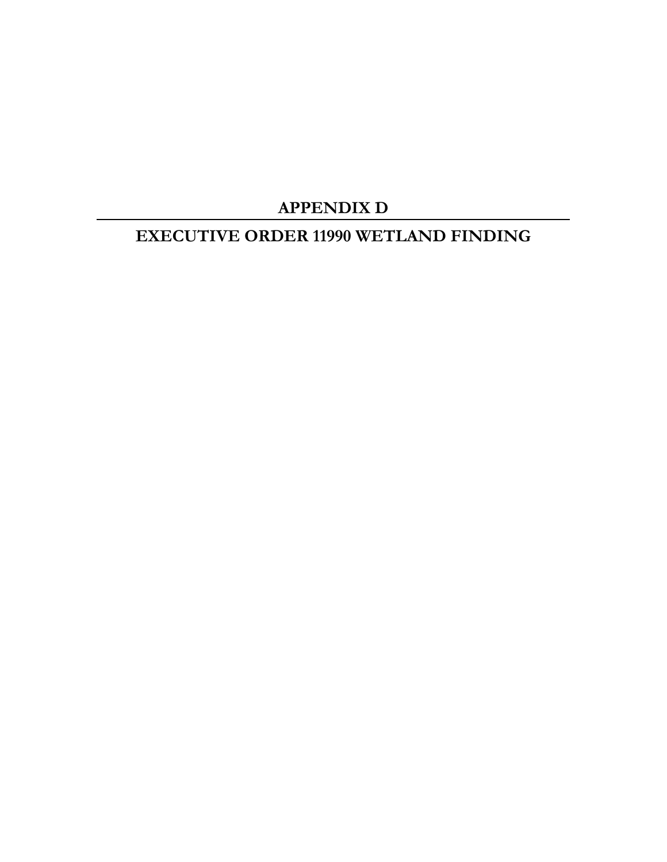# **APPENDIX D**

## **EXECUTIVE ORDER 11990 WETLAND FINDING**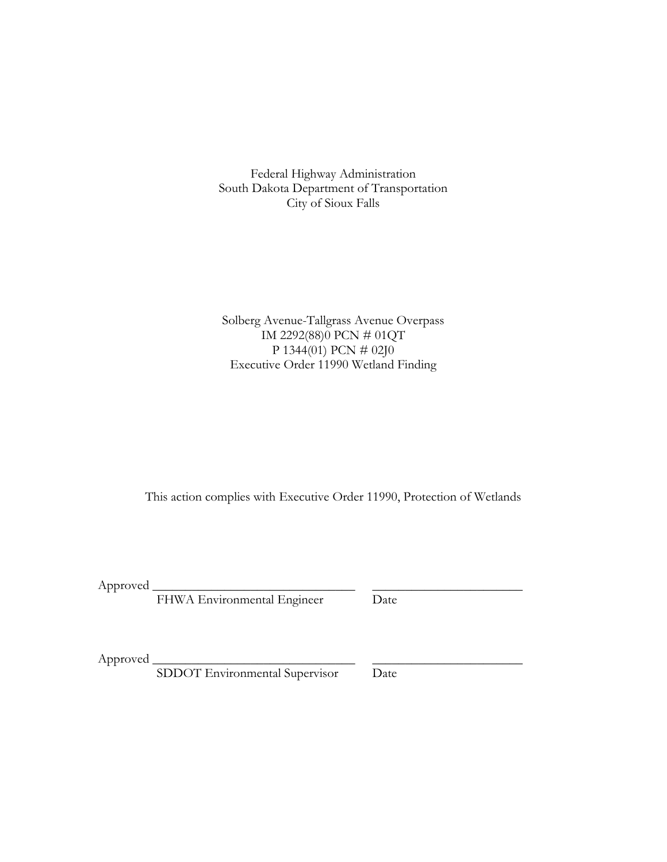Federal Highway Administration South Dakota Department of Transportation City of Sioux Falls

Solberg Avenue-Tallgrass Avenue Overpass IM 2292(88)0 PCN # 01QT P 1344(01) PCN # 02J0 Executive Order 11990 Wetland Finding

This action complies with Executive Order 11990, Protection of Wetlands

Approved \_

FHWA Environmental Engineer Date

Approved \_

SDDOT Environmental Supervisor Date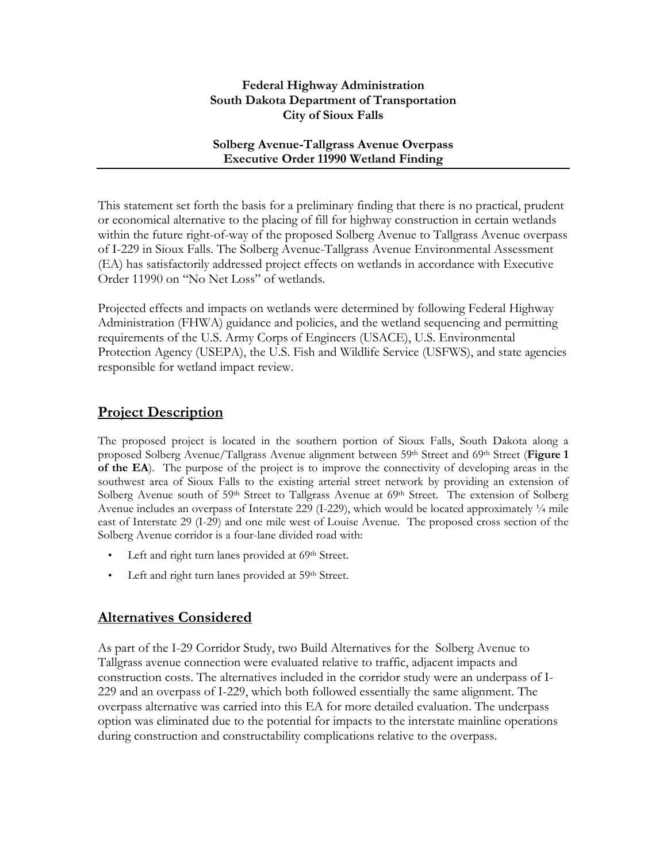#### **Federal Highway Administration South Dakota Department of Transportation City of Sioux Falls**

#### **Solberg Avenue-Tallgrass Avenue Overpass Executive Order 11990 Wetland Finding**

This statement set forth the basis for a preliminary finding that there is no practical, prudent or economical alternative to the placing of fill for highway construction in certain wetlands within the future right-of-way of the proposed Solberg Avenue to Tallgrass Avenue overpass of I-229 in Sioux Falls. The Solberg Avenue-Tallgrass Avenue Environmental Assessment (EA) has satisfactorily addressed project effects on wetlands in accordance with Executive Order 11990 on "No Net Loss" of wetlands.

Projected effects and impacts on wetlands were determined by following Federal Highway Administration (FHWA) guidance and policies, and the wetland sequencing and permitting requirements of the U.S. Army Corps of Engineers (USACE), U.S. Environmental Protection Agency (USEPA), the U.S. Fish and Wildlife Service (USFWS), and state agencies responsible for wetland impact review.

#### **Project Description**

The proposed project is located in the southern portion of Sioux Falls, South Dakota along a proposed Solberg Avenue/Tallgrass Avenue alignment between 59<sup>th</sup> Street and 69<sup>th</sup> Street (Figure 1 **of the EA**). The purpose of the project is to improve the connectivity of developing areas in the southwest area of Sioux Falls to the existing arterial street network by providing an extension of Solberg Avenue south of  $59<sup>th</sup>$  Street to Tallgrass Avenue at  $69<sup>th</sup>$  Street. The extension of Solberg Avenue includes an overpass of Interstate 229 (I-229), which would be located approximately 1/4 mile east of Interstate 29 (I-29) and one mile west of Louise Avenue. The proposed cross section of the Solberg Avenue corridor is a four-lane divided road with:

- Left and right turn lanes provided at 69<sup>th</sup> Street.
- Left and right turn lanes provided at 59<sup>th</sup> Street.

### **Alternatives Considered**

As part of the I-29 Corridor Study, two Build Alternatives for the Solberg Avenue to Tallgrass avenue connection were evaluated relative to traffic, adjacent impacts and construction costs. The alternatives included in the corridor study were an underpass of I-229 and an overpass of I-229, which both followed essentially the same alignment. The overpass alternative was carried into this EA for more detailed evaluation. The underpass option was eliminated due to the potential for impacts to the interstate mainline operations during construction and constructability complications relative to the overpass.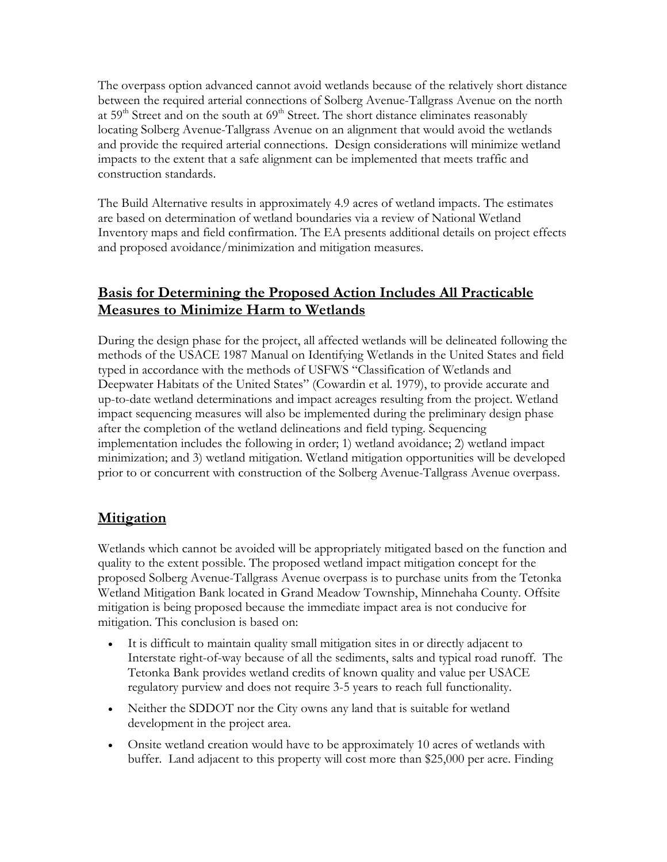The overpass option advanced cannot avoid wetlands because of the relatively short distance between the required arterial connections of Solberg Avenue-Tallgrass Avenue on the north at 59<sup>th</sup> Street and on the south at 69<sup>th</sup> Street. The short distance eliminates reasonably locating Solberg Avenue-Tallgrass Avenue on an alignment that would avoid the wetlands and provide the required arterial connections. Design considerations will minimize wetland impacts to the extent that a safe alignment can be implemented that meets traffic and construction standards.

The Build Alternative results in approximately 4.9 acres of wetland impacts. The estimates are based on determination of wetland boundaries via a review of National Wetland Inventory maps and field confirmation. The EA presents additional details on project effects and proposed avoidance/minimization and mitigation measures.

### **Basis for Determining the Proposed Action Includes All Practicable Measures to Minimize Harm to Wetlands**

During the design phase for the project, all affected wetlands will be delineated following the methods of the USACE 1987 Manual on Identifying Wetlands in the United States and field typed in accordance with the methods of USFWS "Classification of Wetlands and Deepwater Habitats of the United States" (Cowardin et al. 1979), to provide accurate and up-to-date wetland determinations and impact acreages resulting from the project. Wetland impact sequencing measures will also be implemented during the preliminary design phase after the completion of the wetland delineations and field typing. Sequencing implementation includes the following in order; 1) wetland avoidance; 2) wetland impact minimization; and 3) wetland mitigation. Wetland mitigation opportunities will be developed prior to or concurrent with construction of the Solberg Avenue-Tallgrass Avenue overpass.

#### **Mitigation**

Wetlands which cannot be avoided will be appropriately mitigated based on the function and quality to the extent possible. The proposed wetland impact mitigation concept for the proposed Solberg Avenue-Tallgrass Avenue overpass is to purchase units from the Tetonka Wetland Mitigation Bank located in Grand Meadow Township, Minnehaha County. Offsite mitigation is being proposed because the immediate impact area is not conducive for mitigation. This conclusion is based on:

- It is difficult to maintain quality small mitigation sites in or directly adjacent to Interstate right-of-way because of all the sediments, salts and typical road runoff. The Tetonka Bank provides wetland credits of known quality and value per USACE regulatory purview and does not require 3-5 years to reach full functionality.
- Neither the SDDOT nor the City owns any land that is suitable for wetland development in the project area.
- Onsite wetland creation would have to be approximately 10 acres of wetlands with buffer. Land adjacent to this property will cost more than \$25,000 per acre. Finding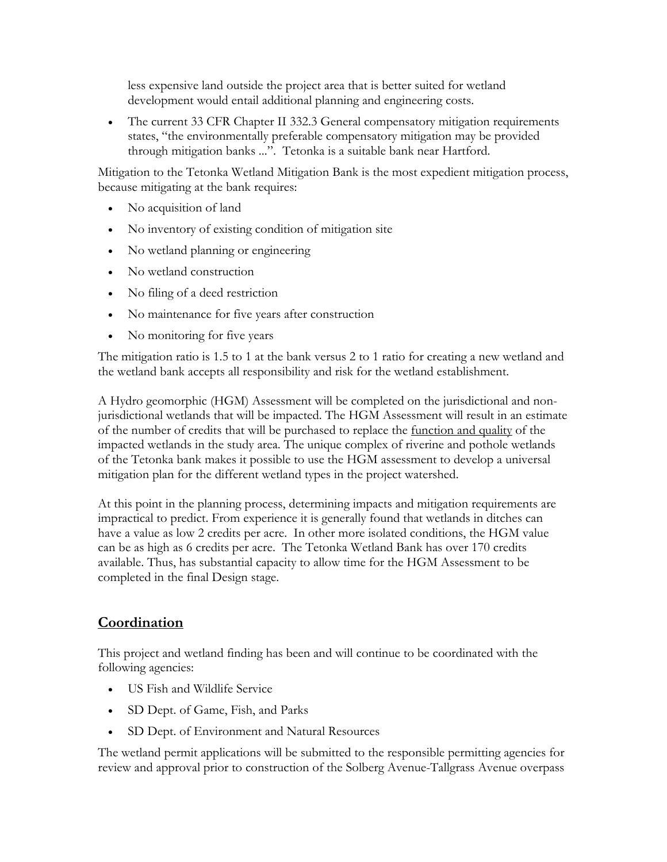less expensive land outside the project area that is better suited for wetland development would entail additional planning and engineering costs.

• The current 33 CFR Chapter II 332.3 General compensatory mitigation requirements states, "the environmentally preferable compensatory mitigation may be provided through mitigation banks ...". Tetonka is a suitable bank near Hartford.

Mitigation to the Tetonka Wetland Mitigation Bank is the most expedient mitigation process, because mitigating at the bank requires:

- No acquisition of land
- No inventory of existing condition of mitigation site
- No wetland planning or engineering
- No wetland construction
- No filing of a deed restriction
- No maintenance for five years after construction
- No monitoring for five years

The mitigation ratio is 1.5 to 1 at the bank versus 2 to 1 ratio for creating a new wetland and the wetland bank accepts all responsibility and risk for the wetland establishment.

A Hydro geomorphic (HGM) Assessment will be completed on the jurisdictional and nonjurisdictional wetlands that will be impacted. The HGM Assessment will result in an estimate of the number of credits that will be purchased to replace the function and quality of the impacted wetlands in the study area. The unique complex of riverine and pothole wetlands of the Tetonka bank makes it possible to use the HGM assessment to develop a universal mitigation plan for the different wetland types in the project watershed.

At this point in the planning process, determining impacts and mitigation requirements are impractical to predict. From experience it is generally found that wetlands in ditches can have a value as low 2 credits per acre. In other more isolated conditions, the HGM value can be as high as 6 credits per acre. The Tetonka Wetland Bank has over 170 credits available. Thus, has substantial capacity to allow time for the HGM Assessment to be completed in the final Design stage.

#### **Coordination**

This project and wetland finding has been and will continue to be coordinated with the following agencies:

- US Fish and Wildlife Service
- SD Dept. of Game, Fish, and Parks
- SD Dept. of Environment and Natural Resources

The wetland permit applications will be submitted to the responsible permitting agencies for review and approval prior to construction of the Solberg Avenue-Tallgrass Avenue overpass